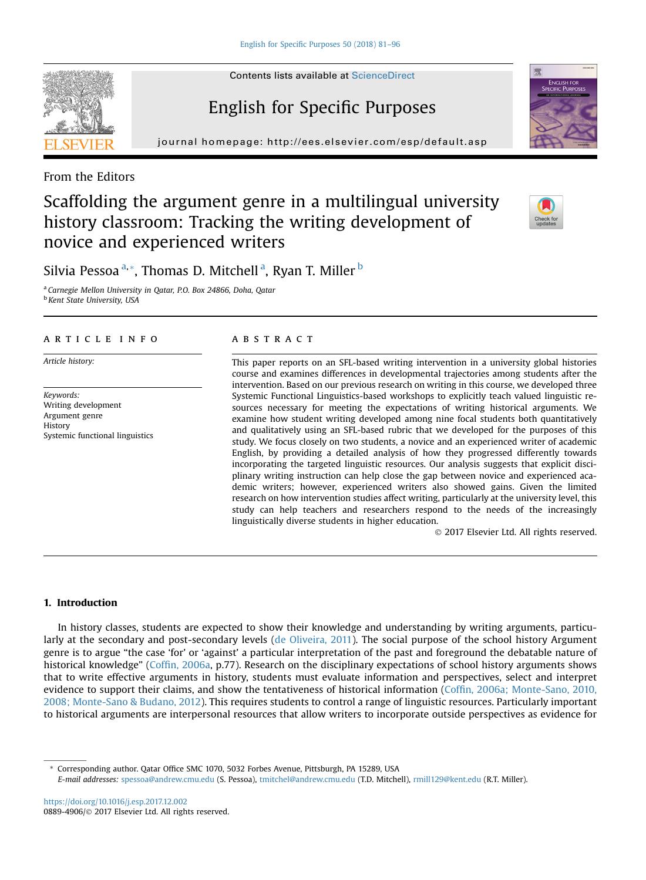Contents lists available at [ScienceDirect](www.sciencedirect.com/science/journal/08894906)

# English for Specific Purposes

journal homepage: [http://ees.elsevier.com/esp/default.asp](http://http://ees.elsevier.com/esp/default.asp)

## From the Editors

## Scaffolding the argument genre in a multilingual university history classroom: Tracking the writing development of novice and experienced writers

Silvia Pessoa <sup>a,</sup>\*, Thomas D. Mitchell <sup>a</sup>, Ryan T. Miller <sup>b</sup>

<sup>a</sup> Carnegie Mellon University in Qatar, P.O. Box 24866, Doha, Qatar <sup>b</sup> Kent State University, USA

## article info

Article history:

Keywords: Writing development Argument genre **History** Systemic functional linguistics

## abstract

This paper reports on an SFL-based writing intervention in a university global histories course and examines differences in developmental trajectories among students after the intervention. Based on our previous research on writing in this course, we developed three Systemic Functional Linguistics-based workshops to explicitly teach valued linguistic resources necessary for meeting the expectations of writing historical arguments. We examine how student writing developed among nine focal students both quantitatively and qualitatively using an SFL-based rubric that we developed for the purposes of this study. We focus closely on two students, a novice and an experienced writer of academic English, by providing a detailed analysis of how they progressed differently towards incorporating the targeted linguistic resources. Our analysis suggests that explicit disciplinary writing instruction can help close the gap between novice and experienced academic writers; however, experienced writers also showed gains. Given the limited research on how intervention studies affect writing, particularly at the university level, this study can help teachers and researchers respond to the needs of the increasingly linguistically diverse students in higher education.

2017 Elsevier Ltd. All rights reserved.

## 1. Introduction

In history classes, students are expected to show their knowledge and understanding by writing arguments, particularly at the secondary and post-secondary levels ([de Oliveira, 2011\)](#page-15-0). The social purpose of the school history Argument genre is to argue "the case 'for' or 'against' a particular interpretation of the past and foreground the debatable nature of historical knowledge" (Coffi[n, 2006a](#page-14-0), p.77). Research on the disciplinary expectations of school history arguments shows that to write effective arguments in history, students must evaluate information and perspectives, select and interpret evidence to support their claims, and show the tentativeness of historical information (Coffi[n, 2006a; Monte-Sano, 2010,](#page-14-0) [2008; Monte-Sano & Budano, 2012](#page-14-0)). This requires students to control a range of linguistic resources. Particularly important to historical arguments are interpersonal resources that allow writers to incorporate outside perspectives as evidence for

\* Corresponding author. Qatar Office SMC 1070, 5032 Forbes Avenue, Pittsburgh, PA 15289, USA







E-mail addresses: [spessoa@andrew.cmu.edu](mailto:spessoa@andrew.cmu.edu) (S. Pessoa), [tmitchel@andrew.cmu.edu](mailto:tmitchel@andrew.cmu.edu) (T.D. Mitchell), [rmill129@kent.edu](mailto:rmill129@kent.edu) (R.T. Miller).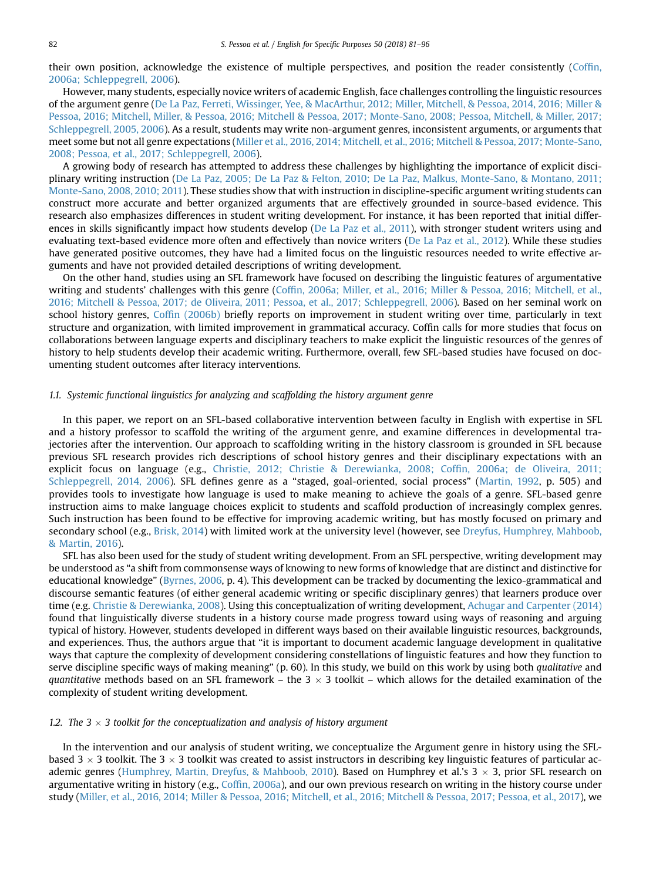<span id="page-1-0"></span>their own position, acknowledge the existence of multiple perspectives, and position the reader consistently ([Cof](#page-14-0)fin, [2006a; Schleppegrell, 2006\)](#page-14-0).

However, many students, especially novice writers of academic English, face challenges controlling the linguistic resources of the argument genre ([De La Paz, Ferreti, Wissinger, Yee, & MacArthur, 2012; Miller, Mitchell, & Pessoa, 2014, 2016; Miller &](#page-14-0) [Pessoa, 2016; Mitchell, Miller, & Pessoa, 2016; Mitchell & Pessoa, 2017; Monte-Sano, 2008; Pessoa, Mitchell, & Miller, 2017;](#page-14-0) [Schleppegrell, 2005, 2006](#page-14-0)). As a result, students may write non-argument genres, inconsistent arguments, or arguments that meet some but not all genre expectations [\(Miller et al., 2016, 2014; Mitchell, et al., 2016; Mitchell & Pessoa, 2017; Monte-Sano,](#page-14-0) [2008; Pessoa, et al., 2017; Schleppegrell, 2006\)](#page-14-0).

A growing body of research has attempted to address these challenges by highlighting the importance of explicit disciplinary writing instruction [\(De La Paz, 2005; De La Paz & Felton, 2010; De La Paz, Malkus, Monte-Sano, & Montano, 2011;](#page-14-0) [Monte-Sano, 2008, 2010; 2011](#page-14-0)). These studies show that with instruction in discipline-specific argument writing students can construct more accurate and better organized arguments that are effectively grounded in source-based evidence. This research also emphasizes differences in student writing development. For instance, it has been reported that initial differences in skills significantly impact how students develop [\(De La Paz et al., 2011](#page-14-0)), with stronger student writers using and evaluating text-based evidence more often and effectively than novice writers [\(De La Paz et al., 2012\)](#page-14-0). While these studies have generated positive outcomes, they have had a limited focus on the linguistic resources needed to write effective arguments and have not provided detailed descriptions of writing development.

On the other hand, studies using an SFL framework have focused on describing the linguistic features of argumentative writing and students' challenges with this genre (Coffi[n, 2006a; Miller, et al., 2016; Miller & Pessoa, 2016; Mitchell, et al.,](#page-14-0) [2016; Mitchell & Pessoa, 2017; de Oliveira, 2011; Pessoa, et al., 2017; Schleppegrell, 2006](#page-14-0)). Based on her seminal work on school history genres, Coffi[n \(2006b\)](#page-14-0) briefly reports on improvement in student writing over time, particularly in text structure and organization, with limited improvement in grammatical accuracy. Coffin calls for more studies that focus on collaborations between language experts and disciplinary teachers to make explicit the linguistic resources of the genres of history to help students develop their academic writing. Furthermore, overall, few SFL-based studies have focused on documenting student outcomes after literacy interventions.

#### 1.1. Systemic functional linguistics for analyzing and scaffolding the history argument genre

In this paper, we report on an SFL-based collaborative intervention between faculty in English with expertise in SFL and a history professor to scaffold the writing of the argument genre, and examine differences in developmental trajectories after the intervention. Our approach to scaffolding writing in the history classroom is grounded in SFL because previous SFL research provides rich descriptions of school history genres and their disciplinary expectations with an explicit focus on language (e.g., [Christie, 2012; Christie & Derewianka, 2008; Cof](#page-14-0)fin, 2006a; de Oliveira, 2011; [Schleppegrell, 2014, 2006](#page-14-0)). SFL defines genre as a "staged, goal-oriented, social process" [\(Martin, 1992,](#page-14-0) p. 505) and provides tools to investigate how language is used to make meaning to achieve the goals of a genre. SFL-based genre instruction aims to make language choices explicit to students and scaffold production of increasingly complex genres. Such instruction has been found to be effective for improving academic writing, but has mostly focused on primary and secondary school (e.g., [Brisk, 2014\)](#page-14-0) with limited work at the university level (however, see [Dreyfus, Humphrey, Mahboob,](#page-14-0) [& Martin, 2016](#page-14-0)).

SFL has also been used for the study of student writing development. From an SFL perspective, writing development may be understood as "a shift from commonsense ways of knowing to new forms of knowledge that are distinct and distinctive for educational knowledge" ([Byrnes, 2006,](#page-14-0) p. 4). This development can be tracked by documenting the lexico-grammatical and discourse semantic features (of either general academic writing or specific disciplinary genres) that learners produce over time (e.g. [Christie & Derewianka, 2008\)](#page-14-0). Using this conceptualization of writing development, [Achugar and Carpenter \(2014\)](#page-14-0) found that linguistically diverse students in a history course made progress toward using ways of reasoning and arguing typical of history. However, students developed in different ways based on their available linguistic resources, backgrounds, and experiences. Thus, the authors argue that "it is important to document academic language development in qualitative ways that capture the complexity of development considering constellations of linguistic features and how they function to serve discipline specific ways of making meaning" (p. 60). In this study, we build on this work by using both qualitative and quantitative methods based on an SFL framework – the  $3 \times 3$  toolkit – which allows for the detailed examination of the complexity of student writing development.

#### 1.2. The 3  $\times$  3 toolkit for the conceptualization and analysis of history argument

In the intervention and our analysis of student writing, we conceptualize the Argument genre in history using the SFLbased 3  $\times$  3 toolkit. The 3  $\times$  3 toolkit was created to assist instructors in describing key linguistic features of particular ac-ademic genres ([Humphrey, Martin, Dreyfus, & Mahboob, 2010\)](#page-14-0). Based on Humphrey et al.'s  $3 \times 3$ , prior SFL research on argumentative writing in history (e.g., Coffi[n, 2006a\)](#page-14-0), and our own previous research on writing in the history course under study [\(Miller, et al., 2016, 2014; Miller & Pessoa, 2016; Mitchell, et al., 2016; Mitchell & Pessoa, 2017; Pessoa, et al., 2017\)](#page-14-0), we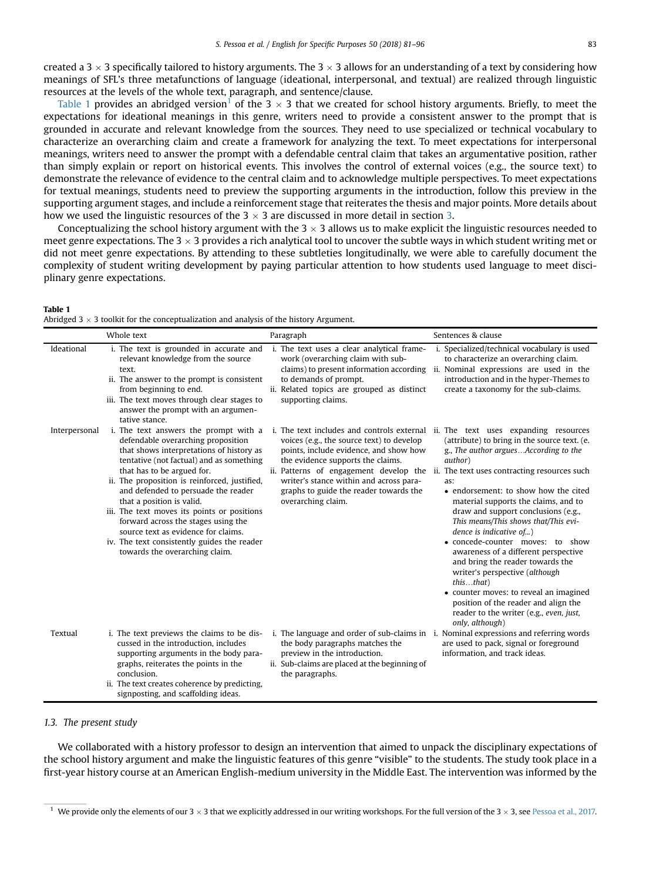created a 3  $\times$  3 specifically tailored to history arguments. The 3  $\times$  3 allows for an understanding of a text by considering how meanings of SFL's three metafunctions of language (ideational, interpersonal, and textual) are realized through linguistic resources at the levels of the whole text, paragraph, and sentence/clause.

Table 1 provides an abridged version<sup>1</sup> of the 3  $\times$  3 that we created for school history arguments. Briefly, to meet the expectations for ideational meanings in this genre, writers need to provide a consistent answer to the prompt that is grounded in accurate and relevant knowledge from the sources. They need to use specialized or technical vocabulary to characterize an overarching claim and create a framework for analyzing the text. To meet expectations for interpersonal meanings, writers need to answer the prompt with a defendable central claim that takes an argumentative position, rather than simply explain or report on historical events. This involves the control of external voices (e.g., the source text) to demonstrate the relevance of evidence to the central claim and to acknowledge multiple perspectives. To meet expectations for textual meanings, students need to preview the supporting arguments in the introduction, follow this preview in the supporting argument stages, and include a reinforcement stage that reiterates the thesis and major points. More details about how we used the linguistic resources of the  $3 \times 3$  $3 \times 3$  are discussed in more detail in section 3.

Conceptualizing the school history argument with the  $3 \times 3$  allows us to make explicit the linguistic resources needed to meet genre expectations. The  $3 \times 3$  provides a rich analytical tool to uncover the subtle ways in which student writing met or did not meet genre expectations. By attending to these subtleties longitudinally, we were able to carefully document the complexity of student writing development by paying particular attention to how students used language to meet disciplinary genre expectations.

#### Table 1

Abridged  $3 \times 3$  toolkit for the conceptualization and analysis of the history Argument.

|               | Whole text                                                                                                                                                                                                                                                                                                                                                                                                                                                                                                                           | Paragraph                                                                                                                                                                                                                           | Sentences & clause                                                                                                                                                                                                                                                                                                                                                                                                                                                                                                                                                                                                                                                                                                                                                                          |
|---------------|--------------------------------------------------------------------------------------------------------------------------------------------------------------------------------------------------------------------------------------------------------------------------------------------------------------------------------------------------------------------------------------------------------------------------------------------------------------------------------------------------------------------------------------|-------------------------------------------------------------------------------------------------------------------------------------------------------------------------------------------------------------------------------------|---------------------------------------------------------------------------------------------------------------------------------------------------------------------------------------------------------------------------------------------------------------------------------------------------------------------------------------------------------------------------------------------------------------------------------------------------------------------------------------------------------------------------------------------------------------------------------------------------------------------------------------------------------------------------------------------------------------------------------------------------------------------------------------------|
| Ideational    | i. The text is grounded in accurate and<br>relevant knowledge from the source<br>text.<br>ii. The answer to the prompt is consistent<br>from beginning to end.<br>iii. The text moves through clear stages to<br>answer the prompt with an argumen-<br>tative stance.                                                                                                                                                                                                                                                                | i. The text uses a clear analytical frame-<br>work (overarching claim with sub-<br>to demands of prompt.<br>ii. Related topics are grouped as distinct<br>supporting claims.                                                        | i. Specialized/technical vocabulary is used<br>to characterize an overarching claim.<br>claims) to present information according ii. Nominal expressions are used in the<br>introduction and in the hyper-Themes to<br>create a taxonomy for the sub-claims.                                                                                                                                                                                                                                                                                                                                                                                                                                                                                                                                |
| Interpersonal | i. The text answers the prompt with a<br>defendable overarching proposition<br>that shows interpretations of history as<br>tentative (not factual) and as something<br>that has to be argued for.<br>ii. The proposition is reinforced, justified,<br>and defended to persuade the reader<br>that a position is valid.<br>iii. The text moves its points or positions<br>forward across the stages using the<br>source text as evidence for claims.<br>iv. The text consistently guides the reader<br>towards the overarching claim. | voices (e.g., the source text) to develop<br>points, include evidence, and show how<br>the evidence supports the claims.<br>writer's stance within and across para-<br>graphs to guide the reader towards the<br>overarching claim. | i. The text includes and controls external ii. The text uses expanding resources<br>(attribute) to bring in the source text. (e.<br>g., The author arguesAccording to the<br>author)<br>ii. Patterns of engagement develop the ii. The text uses contracting resources such<br>as:<br>• endorsement: to show how the cited<br>material supports the claims, and to<br>draw and support conclusions (e.g.,<br>This means/This shows that/This evi-<br>dence is indicative of)<br>• concede-counter moves: to show<br>awareness of a different perspective<br>and bring the reader towards the<br>writer's perspective (although<br>thisthat)<br>• counter moves: to reveal an imagined<br>position of the reader and align the<br>reader to the writer (e.g., even, just,<br>only, although) |
| Textual       | i. The text previews the claims to be dis-<br>cussed in the introduction, includes<br>supporting arguments in the body para-<br>graphs, reiterates the points in the<br>conclusion.<br>ii. The text creates coherence by predicting,<br>signposting, and scaffolding ideas.                                                                                                                                                                                                                                                          | i. The language and order of sub-claims in<br>the body paragraphs matches the<br>preview in the introduction.<br>ii. Sub-claims are placed at the beginning of<br>the paragraphs.                                                   | Nominal expressions and referring words<br>i.<br>are used to pack, signal or foreground<br>information, and track ideas.                                                                                                                                                                                                                                                                                                                                                                                                                                                                                                                                                                                                                                                                    |

#### 1.3. The present study

We collaborated with a history professor to design an intervention that aimed to unpack the disciplinary expectations of the school history argument and make the linguistic features of this genre "visible" to the students. The study took place in a first-year history course at an American English-medium university in the Middle East. The intervention was informed by the

<sup>&</sup>lt;sup>1</sup> We provide only the elements of our 3  $\times$  3 that we explicitly addressed in our writing workshops. For the full version of the 3  $\times$  3, see [Pessoa et al., 2017.](#page-15-0)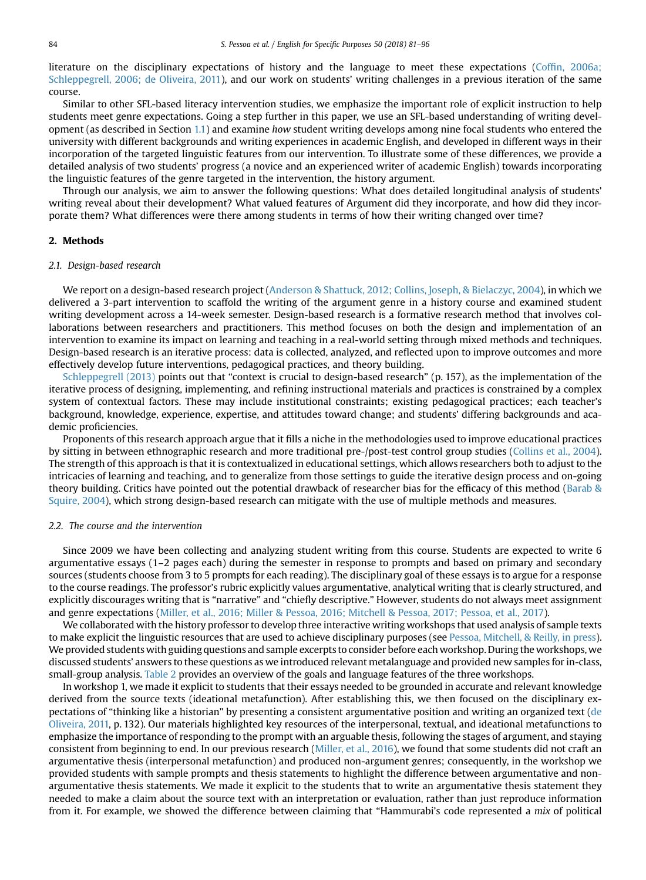literature on the disciplinary expectations of history and the language to meet these expectations (Coffi[n, 2006a;](#page-14-0) [Schleppegrell, 2006; de Oliveira, 2011](#page-14-0)), and our work on students' writing challenges in a previous iteration of the same course.

Similar to other SFL-based literacy intervention studies, we emphasize the important role of explicit instruction to help students meet genre expectations. Going a step further in this paper, we use an SFL-based understanding of writing development (as described in Section [1.1\)](#page-1-0) and examine how student writing develops among nine focal students who entered the university with different backgrounds and writing experiences in academic English, and developed in different ways in their incorporation of the targeted linguistic features from our intervention. To illustrate some of these differences, we provide a detailed analysis of two students' progress (a novice and an experienced writer of academic English) towards incorporating the linguistic features of the genre targeted in the intervention, the history argument.

Through our analysis, we aim to answer the following questions: What does detailed longitudinal analysis of students' writing reveal about their development? What valued features of Argument did they incorporate, and how did they incorporate them? What differences were there among students in terms of how their writing changed over time?

## 2. Methods

#### 2.1. Design-based research

We report on a design-based research project [\(Anderson & Shattuck, 2012; Collins, Joseph, & Bielaczyc, 2004](#page-14-0)), in which we delivered a 3-part intervention to scaffold the writing of the argument genre in a history course and examined student writing development across a 14-week semester. Design-based research is a formative research method that involves collaborations between researchers and practitioners. This method focuses on both the design and implementation of an intervention to examine its impact on learning and teaching in a real-world setting through mixed methods and techniques. Design-based research is an iterative process: data is collected, analyzed, and reflected upon to improve outcomes and more effectively develop future interventions, pedagogical practices, and theory building.

[Schleppegrell \(2013\)](#page-15-0) points out that "context is crucial to design-based research" (p. 157), as the implementation of the iterative process of designing, implementing, and refining instructional materials and practices is constrained by a complex system of contextual factors. These may include institutional constraints; existing pedagogical practices; each teacher's background, knowledge, experience, expertise, and attitudes toward change; and students' differing backgrounds and academic proficiencies.

Proponents of this research approach argue that it fills a niche in the methodologies used to improve educational practices by sitting in between ethnographic research and more traditional pre-/post-test control group studies ([Collins et al., 2004](#page-14-0)). The strength of this approach is that it is contextualized in educational settings, which allows researchers both to adjust to the intricacies of learning and teaching, and to generalize from those settings to guide the iterative design process and on-going theory building. Critics have pointed out the potential drawback of researcher bias for the efficacy of this method ([Barab &](#page-14-0) [Squire, 2004\)](#page-14-0), which strong design-based research can mitigate with the use of multiple methods and measures.

#### 2.2. The course and the intervention

Since 2009 we have been collecting and analyzing student writing from this course. Students are expected to write 6 argumentative essays (1–2 pages each) during the semester in response to prompts and based on primary and secondary sources (students choose from 3 to 5 prompts for each reading). The disciplinary goal of these essays is to argue for a response to the course readings. The professor's rubric explicitly values argumentative, analytical writing that is clearly structured, and explicitly discourages writing that is "narrative" and "chiefly descriptive." However, students do not always meet assignment and genre expectations ([Miller, et al., 2016; Miller & Pessoa, 2016; Mitchell & Pessoa, 2017; Pessoa, et al., 2017\)](#page-14-0).

We collaborated with the history professor to develop three interactive writing workshops that used analysis of sample texts to make explicit the linguistic resources that are used to achieve disciplinary purposes (see [Pessoa, Mitchell, & Reilly, in press\)](#page-15-0). We provided students with guiding questions and sample excerpts to consider before each workshop. During the workshops, we discussed students' answers to these questions as we introduced relevant metalanguage and provided new samples for in-class, small-group analysis. [Table 2](#page-4-0) provides an overview of the goals and language features of the three workshops.

In workshop 1, we made it explicit to students that their essays needed to be grounded in accurate and relevant knowledge derived from the source texts (ideational metafunction). After establishing this, we then focused on the disciplinary expectations of "thinking like a historian" by presenting a consistent argumentative position and writing an organized text [\(de](#page-15-0) [Oliveira, 2011,](#page-15-0) p. 132). Our materials highlighted key resources of the interpersonal, textual, and ideational metafunctions to emphasize the importance of responding to the prompt with an arguable thesis, following the stages of argument, and staying consistent from beginning to end. In our previous research ([Miller, et al., 2016\)](#page-14-0), we found that some students did not craft an argumentative thesis (interpersonal metafunction) and produced non-argument genres; consequently, in the workshop we provided students with sample prompts and thesis statements to highlight the difference between argumentative and nonargumentative thesis statements. We made it explicit to the students that to write an argumentative thesis statement they needed to make a claim about the source text with an interpretation or evaluation, rather than just reproduce information from it. For example, we showed the difference between claiming that "Hammurabi's code represented a mix of political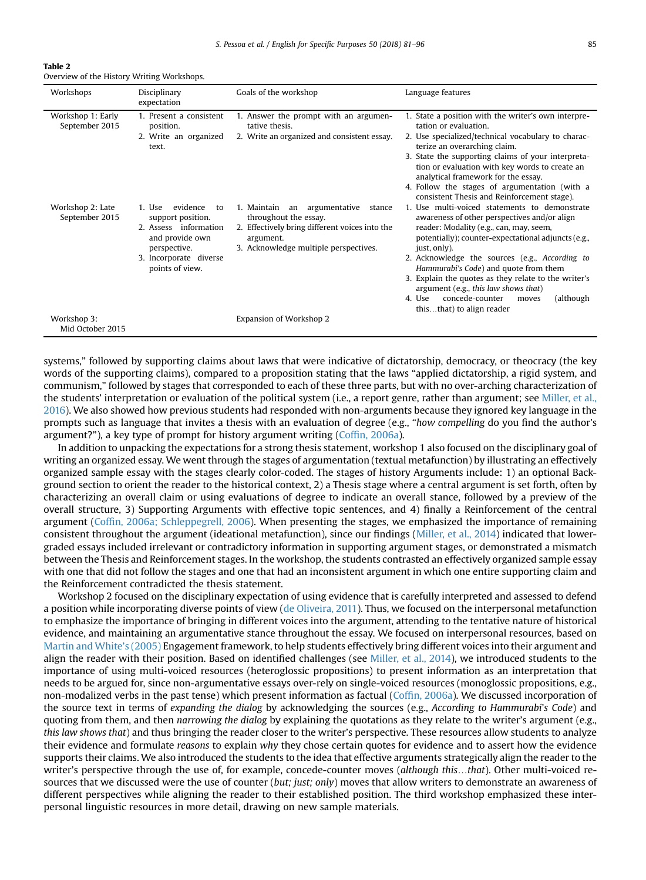<span id="page-4-0"></span>

| Table 2                                    |  |  |
|--------------------------------------------|--|--|
| Overview of the History Writing Workshops. |  |  |

| Workshops                           | Disciplinary<br>expectation                                                                                                                         | Goals of the workshop                                                                                                                                                   | Language features                                                                                                                                                                                                                                                                                                                                                                                                                                                                          |
|-------------------------------------|-----------------------------------------------------------------------------------------------------------------------------------------------------|-------------------------------------------------------------------------------------------------------------------------------------------------------------------------|--------------------------------------------------------------------------------------------------------------------------------------------------------------------------------------------------------------------------------------------------------------------------------------------------------------------------------------------------------------------------------------------------------------------------------------------------------------------------------------------|
| Workshop 1: Early<br>September 2015 | 1. Present a consistent<br>position.<br>2. Write an organized<br>text.                                                                              | 1. Answer the prompt with an argumen-<br>tative thesis.<br>2. Write an organized and consistent essay.                                                                  | 1. State a position with the writer's own interpre-<br>tation or evaluation.<br>2. Use specialized/technical vocabulary to charac-<br>terize an overarching claim.<br>3. State the supporting claims of your interpreta-<br>tion or evaluation with key words to create an<br>analytical framework for the essay.<br>4. Follow the stages of argumentation (with a<br>consistent Thesis and Reinforcement stage).                                                                          |
| Workshop 2: Late<br>September 2015  | 1. Use evidence<br>to<br>support position.<br>2. Assess information<br>and provide own<br>perspective.<br>3. Incorporate diverse<br>points of view. | 1. Maintain an argumentative<br>stance<br>throughout the essay.<br>2. Effectively bring different voices into the<br>argument.<br>3. Acknowledge multiple perspectives. | 1. Use multi-voiced statements to demonstrate<br>awareness of other perspectives and/or align<br>reader: Modality (e.g., can, may, seem,<br>potentially); counter-expectational adjuncts (e.g.,<br>just, only).<br>2. Acknowledge the sources (e.g., According to<br>Hammurabi's Code) and quote from them<br>3. Explain the quotes as they relate to the writer's<br>argument (e.g., this law shows that)<br>4. Use<br>concede-counter<br>(although<br>moves<br>thisthat) to align reader |
| Workshop 3:<br>Mid October 2015     |                                                                                                                                                     | Expansion of Workshop 2                                                                                                                                                 |                                                                                                                                                                                                                                                                                                                                                                                                                                                                                            |

systems," followed by supporting claims about laws that were indicative of dictatorship, democracy, or theocracy (the key words of the supporting claims), compared to a proposition stating that the laws "applied dictatorship, a rigid system, and communism," followed by stages that corresponded to each of these three parts, but with no over-arching characterization of the students' interpretation or evaluation of the political system (i.e., a report genre, rather than argument; see [Miller, et al.,](#page-14-0) [2016](#page-14-0)). We also showed how previous students had responded with non-arguments because they ignored key language in the prompts such as language that invites a thesis with an evaluation of degree (e.g., "how compelling do you find the author's argument?"), a key type of prompt for history argument writing (Coffi[n, 2006a](#page-14-0)).

In addition to unpacking the expectations for a strong thesis statement, workshop 1 also focused on the disciplinary goal of writing an organized essay. We went through the stages of argumentation (textual metafunction) by illustrating an effectively organized sample essay with the stages clearly color-coded. The stages of history Arguments include: 1) an optional Background section to orient the reader to the historical context, 2) a Thesis stage where a central argument is set forth, often by characterizing an overall claim or using evaluations of degree to indicate an overall stance, followed by a preview of the overall structure, 3) Supporting Arguments with effective topic sentences, and 4) finally a Reinforcement of the central argument (Coffi[n, 2006a; Schleppegrell, 2006\)](#page-14-0). When presenting the stages, we emphasized the importance of remaining consistent throughout the argument (ideational metafunction), since our findings ([Miller, et al., 2014](#page-14-0)) indicated that lowergraded essays included irrelevant or contradictory information in supporting argument stages, or demonstrated a mismatch between the Thesis and Reinforcement stages. In the workshop, the students contrasted an effectively organized sample essay with one that did not follow the stages and one that had an inconsistent argument in which one entire supporting claim and the Reinforcement contradicted the thesis statement.

Workshop 2 focused on the disciplinary expectation of using evidence that is carefully interpreted and assessed to defend a position while incorporating diverse points of view ([de Oliveira, 2011](#page-15-0)). Thus, we focused on the interpersonal metafunction to emphasize the importance of bringing in different voices into the argument, attending to the tentative nature of historical evidence, and maintaining an argumentative stance throughout the essay. We focused on interpersonal resources, based on [Martin and White](#page-14-0)'s (2005) Engagement framework, to help students effectively bring different voices into their argument and align the reader with their position. Based on identified challenges (see [Miller, et al., 2014](#page-14-0)), we introduced students to the importance of using multi-voiced resources (heteroglossic propositions) to present information as an interpretation that needs to be argued for, since non-argumentative essays over-rely on single-voiced resources (monoglossic propositions, e.g., non-modalized verbs in the past tense) which present information as factual (Coffi[n, 2006a\)](#page-14-0). We discussed incorporation of the source text in terms of expanding the dialog by acknowledging the sources (e.g., According to Hammurabi's Code) and quoting from them, and then *narrowing the dialog* by explaining the quotations as they relate to the writer's argument (e.g., this law shows that) and thus bringing the reader closer to the writer's perspective. These resources allow students to analyze their evidence and formulate reasons to explain why they chose certain quotes for evidence and to assert how the evidence supports their claims. We also introduced the students to the idea that effective arguments strategically align the reader to the writer's perspective through the use of, for example, concede-counter moves (although this...that). Other multi-voiced resources that we discussed were the use of counter (but; just; only) moves that allow writers to demonstrate an awareness of different perspectives while aligning the reader to their established position. The third workshop emphasized these interpersonal linguistic resources in more detail, drawing on new sample materials.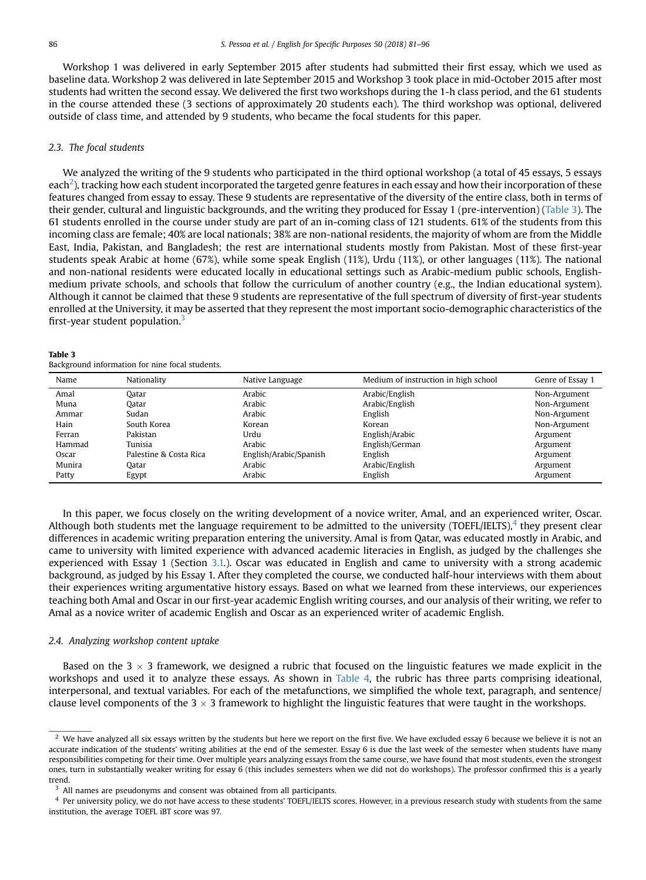Workshop 1 was delivered in early September 2015 after students had submitted their first essay, which we used as baseline data. Workshop 2 was delivered in late September 2015 and Workshop 3 took place in mid-October 2015 after most students had written the second essay. We delivered the first two workshops during the 1-h class period, and the 61 students in the course attended these (3 sections of approximately 20 students each). The third workshop was optional, delivered outside of class time, and attended by 9 students, who became the focal students for this paper.

#### 2.3. The focal students

We analyzed the writing of the 9 students who participated in the third optional workshop (a total of 45 essays, 5 essays each $^2$ ), tracking how each student incorporated the targeted genre features in each essay and how their incorporation of these features changed from essay to essay. These 9 students are representative of the diversity of the entire class, both in terms of their gender, cultural and linguistic backgrounds, and the writing they produced for Essay 1 (pre-intervention) (Table 3). The 61 students enrolled in the course under study are part of an in-coming class of 121 students. 61% of the students from this incoming class are female; 40% are local nationals; 38% are non-national residents, the majority of whom are from the Middle East, India, Pakistan, and Bangladesh; the rest are international students mostly from Pakistan. Most of these first-year students speak Arabic at home (67%), while some speak English (11%), Urdu (11%), or other languages (11%). The national and non-national residents were educated locally in educational settings such as Arabic-medium public schools, Englishmedium private schools, and schools that follow the curriculum of another country (e.g., the Indian educational system). Although it cannot be claimed that these 9 students are representative of the full spectrum of diversity of first-year students enrolled at the University, it may be asserted that they represent the most important socio-demographic characteristics of the first-year student population.<sup>3</sup>

#### Table 3

Background information for nine focal students.

| Name   | Nationality            | Native Language        | Medium of instruction in high school | Genre of Essay 1 |
|--------|------------------------|------------------------|--------------------------------------|------------------|
| Amal   | Oatar                  | Arabic                 | Arabic/English                       | Non-Argument     |
| Muna   | Oatar                  | Arabic                 | Arabic/English                       | Non-Argument     |
| Ammar  | Sudan                  | Arabic                 | English                              | Non-Argument     |
| Hain   | South Korea            | Korean                 | Korean                               | Non-Argument     |
| Ferran | Pakistan               | Urdu                   | English/Arabic                       | Argument         |
| Hammad | Tunisia                | Arabic                 | English/German                       | Argument         |
| Oscar  | Palestine & Costa Rica | English/Arabic/Spanish | English                              | Argument         |
| Munira | Oatar                  | Arabic                 | Arabic/English                       | Argument         |
| Patty  | Egypt                  | Arabic                 | English                              | Argument         |

In this paper, we focus closely on the writing development of a novice writer, Amal, and an experienced writer, Oscar. Although both students met the language requirement to be admitted to the university (TOEFL/IELTS), <sup>4</sup> they present clear differences in academic writing preparation entering the university. Amal is from Qatar, was educated mostly in Arabic, and came to university with limited experience with advanced academic literacies in English, as judged by the challenges she experienced with Essay 1 (Section [3.1.](#page-8-0)). Oscar was educated in English and came to university with a strong academic background, as judged by his Essay 1. After they completed the course, we conducted half-hour interviews with them about their experiences writing argumentative history essays. Based on what we learned from these interviews, our experiences teaching both Amal and Oscar in our first-year academic English writing courses, and our analysis of their writing, we refer to Amal as a novice writer of academic English and Oscar as an experienced writer of academic English.

#### 2.4. Analyzing workshop content uptake

Based on the 3  $\times$  3 framework, we designed a rubric that focused on the linguistic features we made explicit in the workshops and used it to analyze these essays. As shown in [Table 4](#page-6-0), the rubric has three parts comprising ideational, interpersonal, and textual variables. For each of the metafunctions, we simplified the whole text, paragraph, and sentence/ clause level components of the  $3 \times 3$  framework to highlight the linguistic features that were taught in the workshops.

 $2$  We have analyzed all six essays written by the students but here we report on the first five. We have excluded essay 6 because we believe it is not an accurate indication of the students' writing abilities at the end of the semester. Essay 6 is due the last week of the semester when students have many responsibilities competing for their time. Over multiple years analyzing essays from the same course, we have found that most students, even the strongest ones, turn in substantially weaker writing for essay 6 (this includes semesters when we did not do workshops). The professor confirmed this is a yearly trend.

<sup>&</sup>lt;sup>3</sup> All names are pseudonyms and consent was obtained from all participants.

<sup>4</sup> Per university policy, we do not have access to these students' TOEFL/IELTS scores. However, in a previous research study with students from the same institution, the average TOEFL iBT score was 97.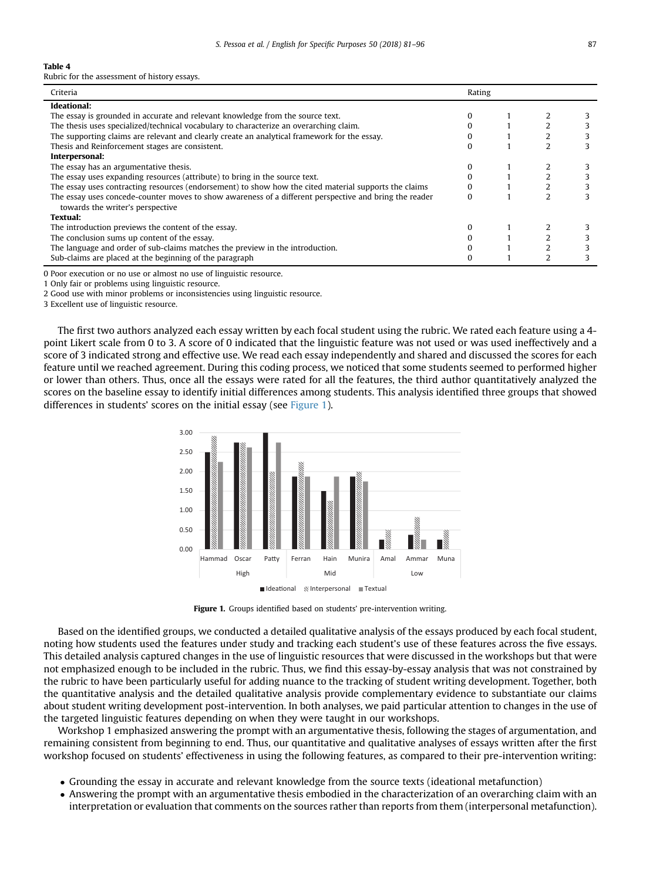#### <span id="page-6-0"></span>Table 4

Rubric for the assessment of history essays.

| Criteria                                                                                               |  |  |  |
|--------------------------------------------------------------------------------------------------------|--|--|--|
| <b>Ideational:</b>                                                                                     |  |  |  |
| The essay is grounded in accurate and relevant knowledge from the source text.                         |  |  |  |
| The thesis uses specialized/technical vocabulary to characterize an overarching claim.                 |  |  |  |
| The supporting claims are relevant and clearly create an analytical framework for the essay.           |  |  |  |
| Thesis and Reinforcement stages are consistent.                                                        |  |  |  |
| Interpersonal:                                                                                         |  |  |  |
| The essay has an argumentative thesis.                                                                 |  |  |  |
| The essay uses expanding resources (attribute) to bring in the source text.                            |  |  |  |
| The essay uses contracting resources (endorsement) to show how the cited material supports the claims  |  |  |  |
| The essay uses concede-counter moves to show awareness of a different perspective and bring the reader |  |  |  |
| towards the writer's perspective                                                                       |  |  |  |
| <b>Textual:</b>                                                                                        |  |  |  |
| The introduction previews the content of the essay.                                                    |  |  |  |
| The conclusion sums up content of the essay.                                                           |  |  |  |
| The language and order of sub-claims matches the preview in the introduction.                          |  |  |  |
| Sub-claims are placed at the beginning of the paragraph                                                |  |  |  |

0 Poor execution or no use or almost no use of linguistic resource.

1 Only fair or problems using linguistic resource.

2 Good use with minor problems or inconsistencies using linguistic resource.

3 Excellent use of linguistic resource.

The first two authors analyzed each essay written by each focal student using the rubric. We rated each feature using a 4 point Likert scale from 0 to 3. A score of 0 indicated that the linguistic feature was not used or was used ineffectively and a score of 3 indicated strong and effective use. We read each essay independently and shared and discussed the scores for each feature until we reached agreement. During this coding process, we noticed that some students seemed to performed higher or lower than others. Thus, once all the essays were rated for all the features, the third author quantitatively analyzed the scores on the baseline essay to identify initial differences among students. This analysis identified three groups that showed differences in students' scores on the initial essay (see Figure 1).



Figure 1. Groups identified based on students' pre-intervention writing.

Based on the identified groups, we conducted a detailed qualitative analysis of the essays produced by each focal student, noting how students used the features under study and tracking each student's use of these features across the five essays. This detailed analysis captured changes in the use of linguistic resources that were discussed in the workshops but that were not emphasized enough to be included in the rubric. Thus, we find this essay-by-essay analysis that was not constrained by the rubric to have been particularly useful for adding nuance to the tracking of student writing development. Together, both the quantitative analysis and the detailed qualitative analysis provide complementary evidence to substantiate our claims about student writing development post-intervention. In both analyses, we paid particular attention to changes in the use of the targeted linguistic features depending on when they were taught in our workshops.

Workshop 1 emphasized answering the prompt with an argumentative thesis, following the stages of argumentation, and remaining consistent from beginning to end. Thus, our quantitative and qualitative analyses of essays written after the first workshop focused on students' effectiveness in using the following features, as compared to their pre-intervention writing:

- Grounding the essay in accurate and relevant knowledge from the source texts (ideational metafunction)
- Answering the prompt with an argumentative thesis embodied in the characterization of an overarching claim with an interpretation or evaluation that comments on the sources rather than reports from them (interpersonal metafunction).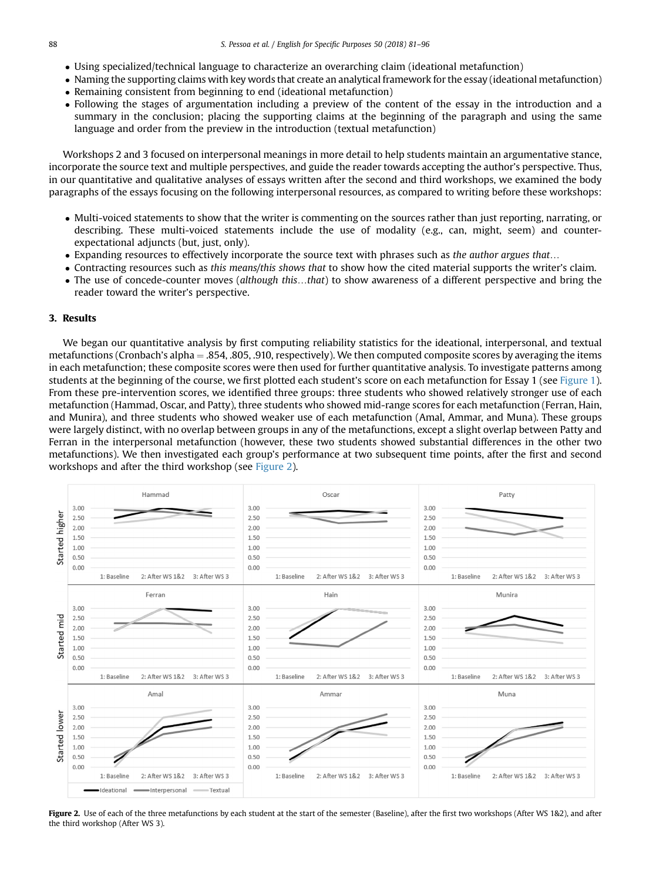- <span id="page-7-0"></span>Using specialized/technical language to characterize an overarching claim (ideational metafunction)
- Naming the supporting claims with key words that create an analytical framework for the essay (ideational metafunction)
- Remaining consistent from beginning to end (ideational metafunction)
- Following the stages of argumentation including a preview of the content of the essay in the introduction and a summary in the conclusion; placing the supporting claims at the beginning of the paragraph and using the same language and order from the preview in the introduction (textual metafunction)

Workshops 2 and 3 focused on interpersonal meanings in more detail to help students maintain an argumentative stance, incorporate the source text and multiple perspectives, and guide the reader towards accepting the author's perspective. Thus, in our quantitative and qualitative analyses of essays written after the second and third workshops, we examined the body paragraphs of the essays focusing on the following interpersonal resources, as compared to writing before these workshops:

- Multi-voiced statements to show that the writer is commenting on the sources rather than just reporting, narrating, or describing. These multi-voiced statements include the use of modality (e.g., can, might, seem) and counterexpectational adjuncts (but, just, only).
- Expanding resources to effectively incorporate the source text with phrases such as the author argues that...
- 
- Contracting resources such as this means/this shows that to show how the cited material supports the writer's claim.<br>• The use of concede-counter moves (although this...that) to show awareness of a different perspective The use of concede-counter moves (although this...that) to show awareness of a different perspective and bring the reader toward the writer's perspective.

## 3. Results

We began our quantitative analysis by first computing reliability statistics for the ideational, interpersonal, and textual metafunctions (Cronbach's alpha  $= .854, .805, .910,$  respectively). We then computed composite scores by averaging the items in each metafunction; these composite scores were then used for further quantitative analysis. To investigate patterns among students at the beginning of the course, we first plotted each student's score on each metafunction for Essay 1 (see [Figure 1](#page-6-0)). From these pre-intervention scores, we identified three groups: three students who showed relatively stronger use of each metafunction (Hammad, Oscar, and Patty), three students who showed mid-range scores for each metafunction (Ferran, Hain, and Munira), and three students who showed weaker use of each metafunction (Amal, Ammar, and Muna). These groups were largely distinct, with no overlap between groups in any of the metafunctions, except a slight overlap between Patty and Ferran in the interpersonal metafunction (however, these two students showed substantial differences in the other two metafunctions). We then investigated each group's performance at two subsequent time points, after the first and second workshops and after the third workshop (see Figure 2).



Figure 2. Use of each of the three metafunctions by each student at the start of the semester (Baseline), after the first two workshops (After WS 1&2), and after the third workshop (After WS 3).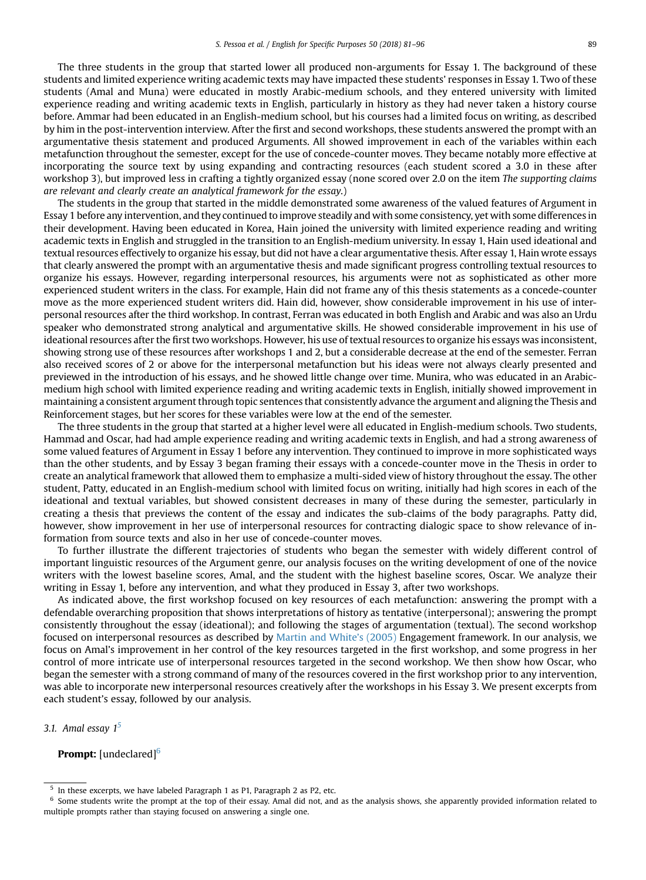<span id="page-8-0"></span>The three students in the group that started lower all produced non-arguments for Essay 1. The background of these students and limited experience writing academic texts may have impacted these students' responses in Essay 1. Two of these students (Amal and Muna) were educated in mostly Arabic-medium schools, and they entered university with limited experience reading and writing academic texts in English, particularly in history as they had never taken a history course before. Ammar had been educated in an English-medium school, but his courses had a limited focus on writing, as described by him in the post-intervention interview. After the first and second workshops, these students answered the prompt with an argumentative thesis statement and produced Arguments. All showed improvement in each of the variables within each metafunction throughout the semester, except for the use of concede-counter moves. They became notably more effective at incorporating the source text by using expanding and contracting resources (each student scored a 3.0 in these after workshop 3), but improved less in crafting a tightly organized essay (none scored over 2.0 on the item The supporting claims are relevant and clearly create an analytical framework for the essay.)

The students in the group that started in the middle demonstrated some awareness of the valued features of Argument in Essay 1 before any intervention, and they continued to improve steadily and with some consistency, yet with some differences in their development. Having been educated in Korea, Hain joined the university with limited experience reading and writing academic texts in English and struggled in the transition to an English-medium university. In essay 1, Hain used ideational and textual resources effectively to organize his essay, but did not have a clear argumentative thesis. After essay 1, Hain wrote essays that clearly answered the prompt with an argumentative thesis and made significant progress controlling textual resources to organize his essays. However, regarding interpersonal resources, his arguments were not as sophisticated as other more experienced student writers in the class. For example, Hain did not frame any of this thesis statements as a concede-counter move as the more experienced student writers did. Hain did, however, show considerable improvement in his use of interpersonal resources after the third workshop. In contrast, Ferran was educated in both English and Arabic and was also an Urdu speaker who demonstrated strong analytical and argumentative skills. He showed considerable improvement in his use of ideational resources after the first two workshops. However, his use of textual resources to organize his essays was inconsistent, showing strong use of these resources after workshops 1 and 2, but a considerable decrease at the end of the semester. Ferran also received scores of 2 or above for the interpersonal metafunction but his ideas were not always clearly presented and previewed in the introduction of his essays, and he showed little change over time. Munira, who was educated in an Arabicmedium high school with limited experience reading and writing academic texts in English, initially showed improvement in maintaining a consistent argument through topic sentences that consistently advance the argument and aligning the Thesis and Reinforcement stages, but her scores for these variables were low at the end of the semester.

The three students in the group that started at a higher level were all educated in English-medium schools. Two students, Hammad and Oscar, had had ample experience reading and writing academic texts in English, and had a strong awareness of some valued features of Argument in Essay 1 before any intervention. They continued to improve in more sophisticated ways than the other students, and by Essay 3 began framing their essays with a concede-counter move in the Thesis in order to create an analytical framework that allowed them to emphasize a multi-sided view of history throughout the essay. The other student, Patty, educated in an English-medium school with limited focus on writing, initially had high scores in each of the ideational and textual variables, but showed consistent decreases in many of these during the semester, particularly in creating a thesis that previews the content of the essay and indicates the sub-claims of the body paragraphs. Patty did, however, show improvement in her use of interpersonal resources for contracting dialogic space to show relevance of information from source texts and also in her use of concede-counter moves.

To further illustrate the different trajectories of students who began the semester with widely different control of important linguistic resources of the Argument genre, our analysis focuses on the writing development of one of the novice writers with the lowest baseline scores, Amal, and the student with the highest baseline scores, Oscar. We analyze their writing in Essay 1, before any intervention, and what they produced in Essay 3, after two workshops.

As indicated above, the first workshop focused on key resources of each metafunction: answering the prompt with a defendable overarching proposition that shows interpretations of history as tentative (interpersonal); answering the prompt consistently throughout the essay (ideational); and following the stages of argumentation (textual). The second workshop focused on interpersonal resources as described by [Martin and White](#page-14-0)'s (2005) Engagement framework. In our analysis, we focus on Amal's improvement in her control of the key resources targeted in the first workshop, and some progress in her control of more intricate use of interpersonal resources targeted in the second workshop. We then show how Oscar, who began the semester with a strong command of many of the resources covered in the first workshop prior to any intervention, was able to incorporate new interpersonal resources creatively after the workshops in his Essay 3. We present excerpts from each student's essay, followed by our analysis.

3.1. Amal essay  $1^5$ 

**Prompt:** [undeclared]<sup>6</sup>

<sup>5</sup> In these excerpts, we have labeled Paragraph 1 as P1, Paragraph 2 as P2, etc.

 $<sup>6</sup>$  Some students write the prompt at the top of their essay. Amal did not, and as the analysis shows, she apparently provided information related to</sup> multiple prompts rather than staying focused on answering a single one.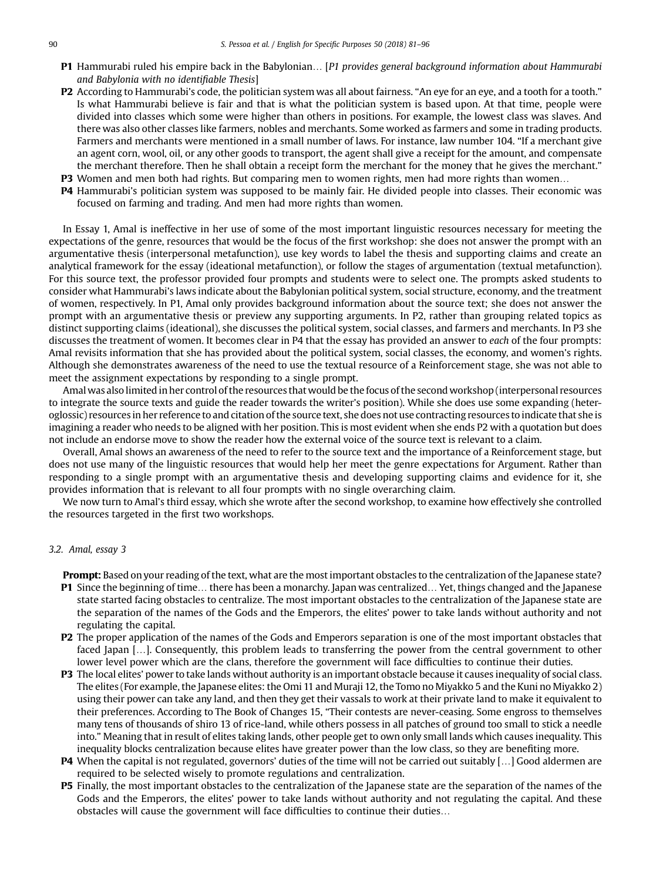- **P1** Hammurabi ruled his empire back in the Babylonian... [P1 provides general background information about Hammurabi and Babylonia with no identifiable Thesis]
- P2 According to Hammurabi's code, the politician system was all about fairness. "An eye for an eye, and a tooth for a tooth." Is what Hammurabi believe is fair and that is what the politician system is based upon. At that time, people were divided into classes which some were higher than others in positions. For example, the lowest class was slaves. And there was also other classes like farmers, nobles and merchants. Some worked as farmers and some in trading products. Farmers and merchants were mentioned in a small number of laws. For instance, law number 104. "If a merchant give an agent corn, wool, oil, or any other goods to transport, the agent shall give a receipt for the amount, and compensate the merchant therefore. Then he shall obtain a receipt form the merchant for the money that he gives the merchant."
- **P3** Women and men both had rights. But comparing men to women rights, men had more rights than women...
- P4 Hammurabi's politician system was supposed to be mainly fair. He divided people into classes. Their economic was focused on farming and trading. And men had more rights than women.

In Essay 1, Amal is ineffective in her use of some of the most important linguistic resources necessary for meeting the expectations of the genre, resources that would be the focus of the first workshop: she does not answer the prompt with an argumentative thesis (interpersonal metafunction), use key words to label the thesis and supporting claims and create an analytical framework for the essay (ideational metafunction), or follow the stages of argumentation (textual metafunction). For this source text, the professor provided four prompts and students were to select one. The prompts asked students to consider what Hammurabi's laws indicate about the Babylonian political system, social structure, economy, and the treatment of women, respectively. In P1, Amal only provides background information about the source text; she does not answer the prompt with an argumentative thesis or preview any supporting arguments. In P2, rather than grouping related topics as distinct supporting claims (ideational), she discusses the political system, social classes, and farmers and merchants. In P3 she discusses the treatment of women. It becomes clear in P4 that the essay has provided an answer to each of the four prompts: Amal revisits information that she has provided about the political system, social classes, the economy, and women's rights. Although she demonstrates awareness of the need to use the textual resource of a Reinforcement stage, she was not able to meet the assignment expectations by responding to a single prompt.

Amal was also limited in her control of the resources that would be the focus of the second workshop (interpersonal resources to integrate the source texts and guide the reader towards the writer's position). While she does use some expanding (heteroglossic) resources in her reference to and citation of the source text, she does not use contracting resources to indicate that she is imagining a reader who needs to be aligned with her position. This is most evident when she ends P2 with a quotation but does not include an endorse move to show the reader how the external voice of the source text is relevant to a claim.

Overall, Amal shows an awareness of the need to refer to the source text and the importance of a Reinforcement stage, but does not use many of the linguistic resources that would help her meet the genre expectations for Argument. Rather than responding to a single prompt with an argumentative thesis and developing supporting claims and evidence for it, she provides information that is relevant to all four prompts with no single overarching claim.

We now turn to Amal's third essay, which she wrote after the second workshop, to examine how effectively she controlled the resources targeted in the first two workshops.

#### 3.2. Amal, essay 3

- Prompt: Based on your reading of the text, what are the most important obstacles to the centralization of the Japanese state? P1 Since the beginning of time... there has been a monarchy. Japan was centralized... Yet, things changed and the Japanese state started facing obstacles to centralize. The most important obstacles to the centralization of the Japanese state are the separation of the names of the Gods and the Emperors, the elites' power to take lands without authority and not regulating the capital.
- P2 The proper application of the names of the Gods and Emperors separation is one of the most important obstacles that faced Japan [...]. Consequently, this problem leads to transferring the power from the central government to other lower level power which are the clans, therefore the government will face difficulties to continue their duties.
- P3 The local elites' power to take lands without authority is an important obstacle because it causes inequality of social class. The elites (For example, the Japanese elites: the Omi 11 and Muraji 12, the Tomo no Miyakko 5 and the Kuni no Miyakko 2) using their power can take any land, and then they get their vassals to work at their private land to make it equivalent to their preferences. According to The Book of Changes 15, "Their contests are never-ceasing. Some engross to themselves many tens of thousands of shiro 13 of rice-land, while others possess in all patches of ground too small to stick a needle into." Meaning that in result of elites taking lands, other people get to own only small lands which causes inequality. This inequality blocks centralization because elites have greater power than the low class, so they are benefiting more.
- **P4** When the capital is not regulated, governors' duties of the time will not be carried out suitably  $[...]$  Good aldermen are required to be selected wisely to promote regulations and centralization.
- P5 Finally, the most important obstacles to the centralization of the Japanese state are the separation of the names of the Gods and the Emperors, the elites' power to take lands without authority and not regulating the capital. And these obstacles will cause the government will face difficulties to continue their duties.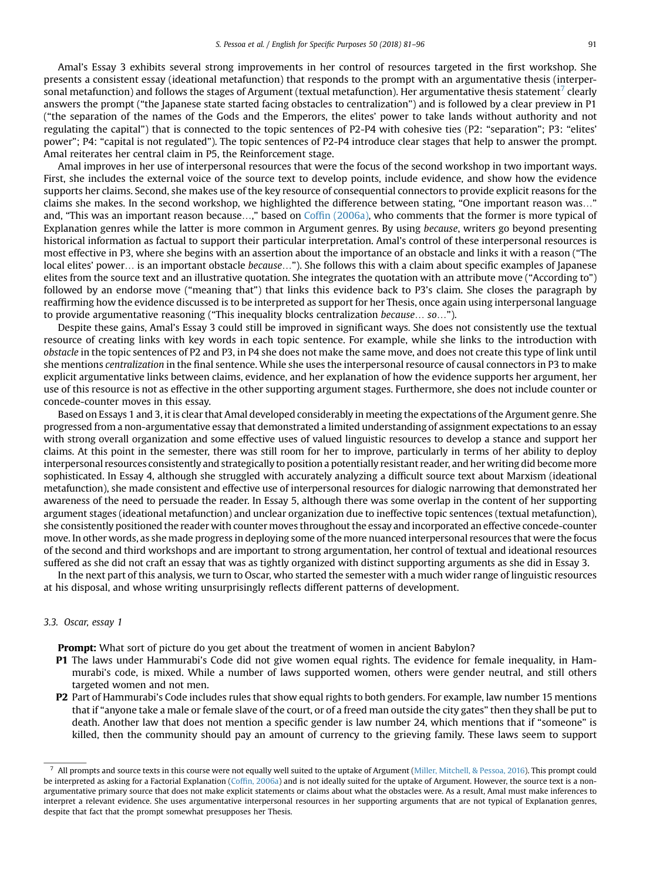Amal's Essay 3 exhibits several strong improvements in her control of resources targeted in the first workshop. She presents a consistent essay (ideational metafunction) that responds to the prompt with an argumentative thesis (interpersonal metafunction) and follows the stages of Argument (textual metafunction). Her argumentative thesis statement<sup>7</sup> clearly answers the prompt ("the Japanese state started facing obstacles to centralization") and is followed by a clear preview in P1 ("the separation of the names of the Gods and the Emperors, the elites' power to take lands without authority and not regulating the capital") that is connected to the topic sentences of P2-P4 with cohesive ties (P2: "separation"; P3: "elites' power"; P4: "capital is not regulated"). The topic sentences of P2-P4 introduce clear stages that help to answer the prompt. Amal reiterates her central claim in P5, the Reinforcement stage.

Amal improves in her use of interpersonal resources that were the focus of the second workshop in two important ways. First, she includes the external voice of the source text to develop points, include evidence, and show how the evidence supports her claims. Second, she makes use of the key resource of consequential connectors to provide explicit reasons for the claims she makes. In the second workshop, we highlighted the difference between stating, "One important reason was..." and, "This was an important reason because.," based on Coffi[n \(2006a\),](#page-14-0) who comments that the former is more typical of Explanation genres while the latter is more common in Argument genres. By using because, writers go beyond presenting historical information as factual to support their particular interpretation. Amal's control of these interpersonal resources is most effective in P3, where she begins with an assertion about the importance of an obstacle and links it with a reason ("The local elites' power... is an important obstacle *because...*"). She follows this with a claim about specific examples of Japanese elites from the source text and an illustrative quotation. She integrates the quotation with an attribute move ("According to") followed by an endorse move ("meaning that") that links this evidence back to P3's claim. She closes the paragraph by reaffirming how the evidence discussed is to be interpreted as support for her Thesis, once again using interpersonal language to provide argumentative reasoning ("This inequality blocks centralization because... so...").

Despite these gains, Amal's Essay 3 could still be improved in significant ways. She does not consistently use the textual resource of creating links with key words in each topic sentence. For example, while she links to the introduction with obstacle in the topic sentences of P2 and P3, in P4 she does not make the same move, and does not create this type of link until she mentions centralization in the final sentence. While she uses the interpersonal resource of causal connectors in P3 to make explicit argumentative links between claims, evidence, and her explanation of how the evidence supports her argument, her use of this resource is not as effective in the other supporting argument stages. Furthermore, she does not include counter or concede-counter moves in this essay.

Based on Essays 1 and 3, it is clear that Amal developed considerably in meeting the expectations of the Argument genre. She progressed from a non-argumentative essay that demonstrated a limited understanding of assignment expectations to an essay with strong overall organization and some effective uses of valued linguistic resources to develop a stance and support her claims. At this point in the semester, there was still room for her to improve, particularly in terms of her ability to deploy interpersonal resources consistently and strategically to position a potentially resistant reader, and her writing did become more sophisticated. In Essay 4, although she struggled with accurately analyzing a difficult source text about Marxism (ideational metafunction), she made consistent and effective use of interpersonal resources for dialogic narrowing that demonstrated her awareness of the need to persuade the reader. In Essay 5, although there was some overlap in the content of her supporting argument stages (ideational metafunction) and unclear organization due to ineffective topic sentences (textual metafunction), she consistently positioned the reader with counter moves throughout the essay and incorporated an effective concede-counter move. In other words, as she made progress in deploying some of the more nuanced interpersonal resources that were the focus of the second and third workshops and are important to strong argumentation, her control of textual and ideational resources suffered as she did not craft an essay that was as tightly organized with distinct supporting arguments as she did in Essay 3.

In the next part of this analysis, we turn to Oscar, who started the semester with a much wider range of linguistic resources at his disposal, and whose writing unsurprisingly reflects different patterns of development.

#### 3.3. Oscar, essay 1

Prompt: What sort of picture do you get about the treatment of women in ancient Babylon?

- P1 The laws under Hammurabi's Code did not give women equal rights. The evidence for female inequality, in Hammurabi's code, is mixed. While a number of laws supported women, others were gender neutral, and still others targeted women and not men.
- P2 Part of Hammurabi's Code includes rules that show equal rights to both genders. For example, law number 15 mentions that if "anyone take a male or female slave of the court, or of a freed man outside the city gates" then they shall be put to death. Another law that does not mention a specific gender is law number 24, which mentions that if "someone" is killed, then the community should pay an amount of currency to the grieving family. These laws seem to support

 $^7$  All prompts and source texts in this course were not equally well suited to the uptake of Argument [\(Miller, Mitchell, & Pessoa, 2016](#page-14-0)). This prompt could be interpreted as asking for a Factorial Explanation (Coffi[n, 2006a\)](#page-14-0) and is not ideally suited for the uptake of Argument. However, the source text is a nonargumentative primary source that does not make explicit statements or claims about what the obstacles were. As a result, Amal must make inferences to interpret a relevant evidence. She uses argumentative interpersonal resources in her supporting arguments that are not typical of Explanation genres, despite that fact that the prompt somewhat presupposes her Thesis.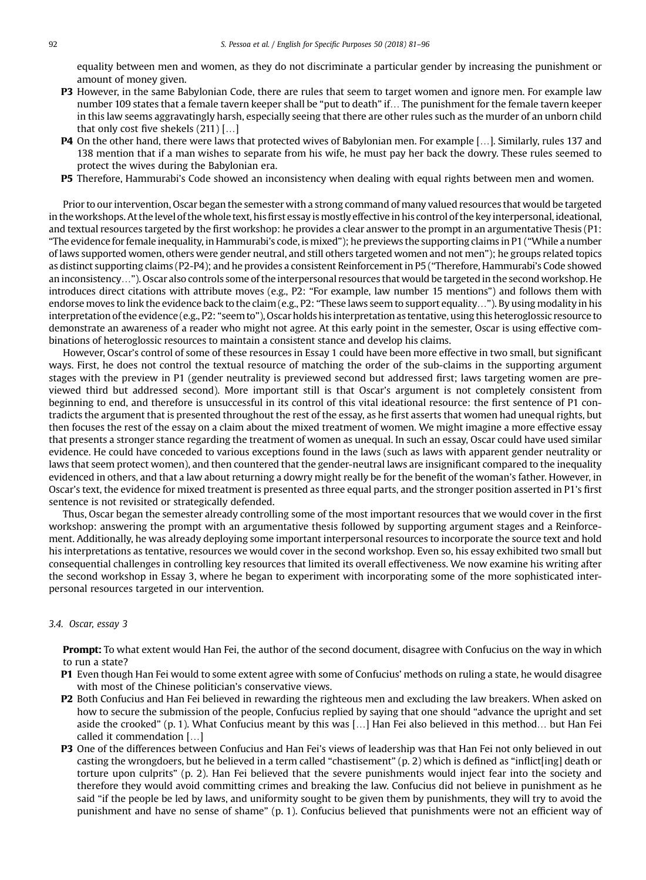equality between men and women, as they do not discriminate a particular gender by increasing the punishment or amount of money given.

- P3 However, in the same Babylonian Code, there are rules that seem to target women and ignore men. For example law number 109 states that a female tavern keeper shall be "put to death" if... The punishment for the female tavern keeper in this law seems aggravatingly harsh, especially seeing that there are other rules such as the murder of an unborn child that only cost five shekels  $(211)$   $[...]$
- **P4** On the other hand, there were laws that protected wives of Babylonian men. For example [...], Similarly, rules 137 and 138 mention that if a man wishes to separate from his wife, he must pay her back the dowry. These rules seemed to protect the wives during the Babylonian era.
- P5 Therefore, Hammurabi's Code showed an inconsistency when dealing with equal rights between men and women.

Prior to our intervention, Oscar began the semester with a strong command of many valued resources that would be targeted in theworkshops. At the level of the whole text, hisfirst essay is mostly effective in his control of the key interpersonal, ideational, and textual resources targeted by the first workshop: he provides a clear answer to the prompt in an argumentative Thesis (P1: "The evidence for female inequality, in Hammurabi's code, is mixed"); he previews the supporting claims in P1 ("While a number of laws supported women, others were gender neutral, and still others targeted women and not men"); he groups related topics as distinct supporting claims (P2-P4); and he provides a consistent Reinforcement in P5 ("Therefore, Hammurabi's Code showed an inconsistency."). Oscar also controls some of the interpersonal resources that would be targeted in the second workshop. He introduces direct citations with attribute moves (e.g., P2: "For example, law number 15 mentions") and follows them with endorse moves to link the evidence back to the claim (e.g., P2: "These laws seem to support equality..."). By using modality in his interpretation of the evidence (e.g., P2: "seem to"), Oscar holds hisinterpretation as tentative, using this heteroglossic resource to demonstrate an awareness of a reader who might not agree. At this early point in the semester, Oscar is using effective combinations of heteroglossic resources to maintain a consistent stance and develop his claims.

However, Oscar's control of some of these resources in Essay 1 could have been more effective in two small, but significant ways. First, he does not control the textual resource of matching the order of the sub-claims in the supporting argument stages with the preview in P1 (gender neutrality is previewed second but addressed first; laws targeting women are previewed third but addressed second). More important still is that Oscar's argument is not completely consistent from beginning to end, and therefore is unsuccessful in its control of this vital ideational resource: the first sentence of P1 contradicts the argument that is presented throughout the rest of the essay, as he first asserts that women had unequal rights, but then focuses the rest of the essay on a claim about the mixed treatment of women. We might imagine a more effective essay that presents a stronger stance regarding the treatment of women as unequal. In such an essay, Oscar could have used similar evidence. He could have conceded to various exceptions found in the laws (such as laws with apparent gender neutrality or laws that seem protect women), and then countered that the gender-neutral laws are insignificant compared to the inequality evidenced in others, and that a law about returning a dowry might really be for the benefit of the woman's father. However, in Oscar's text, the evidence for mixed treatment is presented as three equal parts, and the stronger position asserted in P1's first sentence is not revisited or strategically defended.

Thus, Oscar began the semester already controlling some of the most important resources that we would cover in the first workshop: answering the prompt with an argumentative thesis followed by supporting argument stages and a Reinforcement. Additionally, he was already deploying some important interpersonal resources to incorporate the source text and hold his interpretations as tentative, resources we would cover in the second workshop. Even so, his essay exhibited two small but consequential challenges in controlling key resources that limited its overall effectiveness. We now examine his writing after the second workshop in Essay 3, where he began to experiment with incorporating some of the more sophisticated interpersonal resources targeted in our intervention.

## 3.4. Oscar, essay 3

Prompt: To what extent would Han Fei, the author of the second document, disagree with Confucius on the way in which to run a state?

- P1 Even though Han Fei would to some extent agree with some of Confucius' methods on ruling a state, he would disagree with most of the Chinese politician's conservative views.
- P2 Both Confucius and Han Fei believed in rewarding the righteous men and excluding the law breakers. When asked on how to secure the submission of the people, Confucius replied by saying that one should "advance the upright and set aside the crooked" (p. 1). What Confucius meant by this was [...] Han Fei also believed in this method... but Han Fei called it commendation [...]
- P3 One of the differences between Confucius and Han Fei's views of leadership was that Han Fei not only believed in out casting the wrongdoers, but he believed in a term called "chastisement" (p. 2) which is defined as "inflict[ing] death or torture upon culprits" (p. 2). Han Fei believed that the severe punishments would inject fear into the society and therefore they would avoid committing crimes and breaking the law. Confucius did not believe in punishment as he said "if the people be led by laws, and uniformity sought to be given them by punishments, they will try to avoid the punishment and have no sense of shame" (p. 1). Confucius believed that punishments were not an efficient way of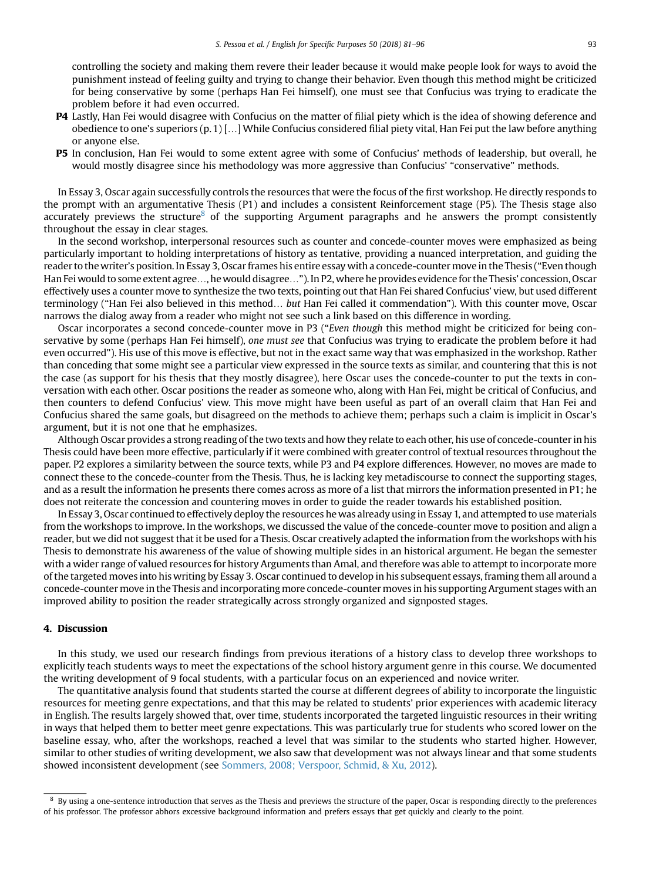controlling the society and making them revere their leader because it would make people look for ways to avoid the punishment instead of feeling guilty and trying to change their behavior. Even though this method might be criticized for being conservative by some (perhaps Han Fei himself), one must see that Confucius was trying to eradicate the problem before it had even occurred.

- P4 Lastly, Han Fei would disagree with Confucius on the matter of filial piety which is the idea of showing deference and obedience to one's superiors  $(p, 1)$ [...] While Confucius considered filial piety vital, Han Fei put the law before anything or anyone else.
- P5 In conclusion, Han Fei would to some extent agree with some of Confucius' methods of leadership, but overall, he would mostly disagree since his methodology was more aggressive than Confucius' "conservative" methods.

In Essay 3, Oscar again successfully controls the resources that were the focus of the first workshop. He directly responds to the prompt with an argumentative Thesis (P1) and includes a consistent Reinforcement stage (P5). The Thesis stage also accurately previews the structure<sup>8</sup> of the supporting Argument paragraphs and he answers the prompt consistently throughout the essay in clear stages.

In the second workshop, interpersonal resources such as counter and concede-counter moves were emphasized as being particularly important to holding interpretations of history as tentative, providing a nuanced interpretation, and guiding the reader to thewriter's position. In Essay 3, Oscar frames his entire essay with a concede-counter move in the Thesis ("Even though Han Fei would to some extent agree., hewould disagree."). In P2, where he provides evidence for the Thesis' concession, Oscar effectively uses a counter move to synthesize the two texts, pointing out that Han Fei shared Confucius' view, but used different terminology ("Han Fei also believed in this method... but Han Fei called it commendation"). With this counter move, Oscar narrows the dialog away from a reader who might not see such a link based on this difference in wording.

Oscar incorporates a second concede-counter move in P3 ("Even though this method might be criticized for being conservative by some (perhaps Han Fei himself), one must see that Confucius was trying to eradicate the problem before it had even occurred"). His use of this move is effective, but not in the exact same way that was emphasized in the workshop. Rather than conceding that some might see a particular view expressed in the source texts as similar, and countering that this is not the case (as support for his thesis that they mostly disagree), here Oscar uses the concede-counter to put the texts in conversation with each other. Oscar positions the reader as someone who, along with Han Fei, might be critical of Confucius, and then counters to defend Confucius' view. This move might have been useful as part of an overall claim that Han Fei and Confucius shared the same goals, but disagreed on the methods to achieve them; perhaps such a claim is implicit in Oscar's argument, but it is not one that he emphasizes.

Although Oscar provides a strong reading of the two texts and how they relate to each other, his use of concede-counter in his Thesis could have been more effective, particularly if it were combined with greater control of textual resources throughout the paper. P2 explores a similarity between the source texts, while P3 and P4 explore differences. However, no moves are made to connect these to the concede-counter from the Thesis. Thus, he is lacking key metadiscourse to connect the supporting stages, and as a result the information he presents there comes across as more of a list that mirrors the information presented in P1; he does not reiterate the concession and countering moves in order to guide the reader towards his established position.

In Essay 3, Oscar continued to effectively deploy the resources he was already using in Essay 1, and attempted to use materials from the workshops to improve. In the workshops, we discussed the value of the concede-counter move to position and align a reader, but we did not suggest that it be used for a Thesis. Oscar creatively adapted the information from the workshops with his Thesis to demonstrate his awareness of the value of showing multiple sides in an historical argument. He began the semester with a wider range of valued resources for history Arguments than Amal, and therefore was able to attempt to incorporate more of the targeted moves into his writing by Essay 3. Oscar continued to develop in his subsequent essays, framing them all around a concede-counter move in the Thesis and incorporating more concede-counter moves in his supporting Argument stages with an improved ability to position the reader strategically across strongly organized and signposted stages.

## 4. Discussion

In this study, we used our research findings from previous iterations of a history class to develop three workshops to explicitly teach students ways to meet the expectations of the school history argument genre in this course. We documented the writing development of 9 focal students, with a particular focus on an experienced and novice writer.

The quantitative analysis found that students started the course at different degrees of ability to incorporate the linguistic resources for meeting genre expectations, and that this may be related to students' prior experiences with academic literacy in English. The results largely showed that, over time, students incorporated the targeted linguistic resources in their writing in ways that helped them to better meet genre expectations. This was particularly true for students who scored lower on the baseline essay, who, after the workshops, reached a level that was similar to the students who started higher. However, similar to other studies of writing development, we also saw that development was not always linear and that some students showed inconsistent development (see [Sommers, 2008; Verspoor, Schmid, & Xu, 2012\)](#page-15-0).

<sup>&</sup>lt;sup>8</sup> By using a one-sentence introduction that serves as the Thesis and previews the structure of the paper, Oscar is responding directly to the preferences of his professor. The professor abhors excessive background information and prefers essays that get quickly and clearly to the point.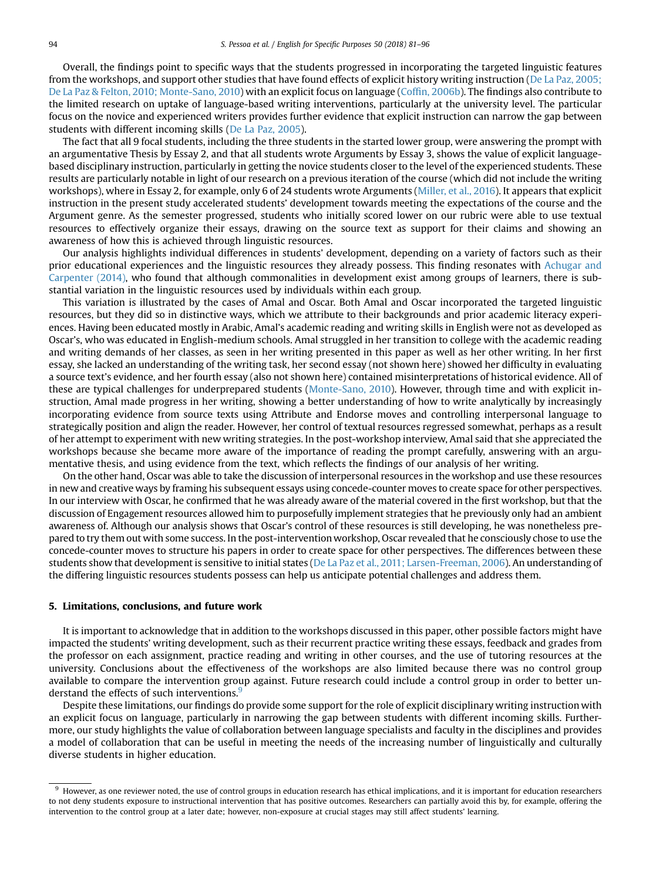Overall, the findings point to specific ways that the students progressed in incorporating the targeted linguistic features from the workshops, and support other studies that have found effects of explicit history writing instruction ([De La Paz, 2005;](#page-14-0) [De La Paz & Felton, 2010; Monte-Sano, 2010](#page-14-0)) with an explicit focus on language (Coffi[n, 2006b\)](#page-14-0). The findings also contribute to the limited research on uptake of language-based writing interventions, particularly at the university level. The particular focus on the novice and experienced writers provides further evidence that explicit instruction can narrow the gap between students with different incoming skills ([De La Paz, 2005](#page-14-0)).

The fact that all 9 focal students, including the three students in the started lower group, were answering the prompt with an argumentative Thesis by Essay 2, and that all students wrote Arguments by Essay 3, shows the value of explicit languagebased disciplinary instruction, particularly in getting the novice students closer to the level of the experienced students. These results are particularly notable in light of our research on a previous iteration of the course (which did not include the writing workshops), where in Essay 2, for example, only 6 of 24 students wrote Arguments [\(Miller, et al., 2016](#page-14-0)). It appears that explicit instruction in the present study accelerated students' development towards meeting the expectations of the course and the Argument genre. As the semester progressed, students who initially scored lower on our rubric were able to use textual resources to effectively organize their essays, drawing on the source text as support for their claims and showing an awareness of how this is achieved through linguistic resources.

Our analysis highlights individual differences in students' development, depending on a variety of factors such as their prior educational experiences and the linguistic resources they already possess. This finding resonates with [Achugar and](#page-14-0) [Carpenter \(2014\),](#page-14-0) who found that although commonalities in development exist among groups of learners, there is substantial variation in the linguistic resources used by individuals within each group.

This variation is illustrated by the cases of Amal and Oscar. Both Amal and Oscar incorporated the targeted linguistic resources, but they did so in distinctive ways, which we attribute to their backgrounds and prior academic literacy experiences. Having been educated mostly in Arabic, Amal's academic reading and writing skills in English were not as developed as Oscar's, who was educated in English-medium schools. Amal struggled in her transition to college with the academic reading and writing demands of her classes, as seen in her writing presented in this paper as well as her other writing. In her first essay, she lacked an understanding of the writing task, her second essay (not shown here) showed her difficulty in evaluating a source text's evidence, and her fourth essay (also not shown here) contained misinterpretations of historical evidence. All of these are typical challenges for underprepared students ([Monte-Sano, 2010](#page-14-0)). However, through time and with explicit instruction, Amal made progress in her writing, showing a better understanding of how to write analytically by increasingly incorporating evidence from source texts using Attribute and Endorse moves and controlling interpersonal language to strategically position and align the reader. However, her control of textual resources regressed somewhat, perhaps as a result of her attempt to experiment with new writing strategies. In the post-workshop interview, Amal said that she appreciated the workshops because she became more aware of the importance of reading the prompt carefully, answering with an argumentative thesis, and using evidence from the text, which reflects the findings of our analysis of her writing.

On the other hand, Oscar was able to take the discussion of interpersonal resources in the workshop and use these resources in new and creative ways by framing his subsequent essays using concede-counter moves to create space for other perspectives. In our interview with Oscar, he confirmed that he was already aware of the material covered in the first workshop, but that the discussion of Engagement resources allowed him to purposefully implement strategies that he previously only had an ambient awareness of. Although our analysis shows that Oscar's control of these resources is still developing, he was nonetheless prepared to try them out with some success. In the post-intervention workshop, Oscar revealed that he consciously chose to use the concede-counter moves to structure his papers in order to create space for other perspectives. The differences between these students show that development is sensitive to initial states [\(De La Paz et al., 2011; Larsen-Freeman, 2006\)](#page-14-0). An understanding of the differing linguistic resources students possess can help us anticipate potential challenges and address them.

#### 5. Limitations, conclusions, and future work

It is important to acknowledge that in addition to the workshops discussed in this paper, other possible factors might have impacted the students' writing development, such as their recurrent practice writing these essays, feedback and grades from the professor on each assignment, practice reading and writing in other courses, and the use of tutoring resources at the university. Conclusions about the effectiveness of the workshops are also limited because there was no control group available to compare the intervention group against. Future research could include a control group in order to better understand the effects of such interventions.<sup>9</sup>

Despite these limitations, our findings do provide some support for the role of explicit disciplinary writing instruction with an explicit focus on language, particularly in narrowing the gap between students with different incoming skills. Furthermore, our study highlights the value of collaboration between language specialists and faculty in the disciplines and provides a model of collaboration that can be useful in meeting the needs of the increasing number of linguistically and culturally diverse students in higher education.

 $9$  However, as one reviewer noted, the use of control groups in education research has ethical implications, and it is important for education researchers to not deny students exposure to instructional intervention that has positive outcomes. Researchers can partially avoid this by, for example, offering the intervention to the control group at a later date; however, non-exposure at crucial stages may still affect students' learning.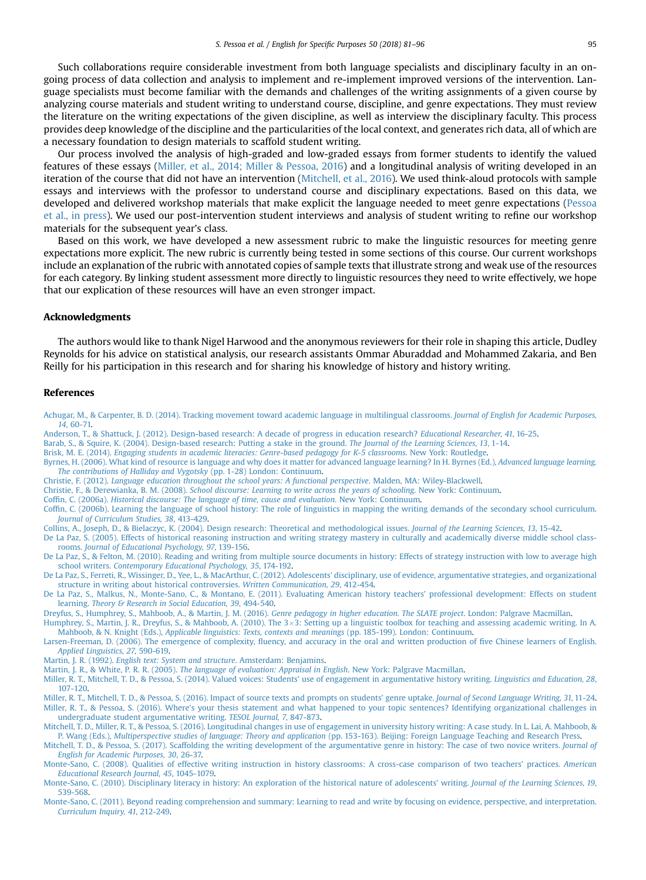<span id="page-14-0"></span>Such collaborations require considerable investment from both language specialists and disciplinary faculty in an ongoing process of data collection and analysis to implement and re-implement improved versions of the intervention. Language specialists must become familiar with the demands and challenges of the writing assignments of a given course by analyzing course materials and student writing to understand course, discipline, and genre expectations. They must review the literature on the writing expectations of the given discipline, as well as interview the disciplinary faculty. This process provides deep knowledge of the discipline and the particularities of the local context, and generates rich data, all of which are a necessary foundation to design materials to scaffold student writing.

Our process involved the analysis of high-graded and low-graded essays from former students to identify the valued features of these essays (Miller, et al., 2014; Miller & Pessoa, 2016) and a longitudinal analysis of writing developed in an iteration of the course that did not have an intervention (Mitchell, et al., 2016). We used think-aloud protocols with sample essays and interviews with the professor to understand course and disciplinary expectations. Based on this data, we developed and delivered workshop materials that make explicit the language needed to meet genre expectations ([Pessoa](#page-15-0) [et al., in press\)](#page-15-0). We used our post-intervention student interviews and analysis of student writing to refine our workshop materials for the subsequent year's class.

Based on this work, we have developed a new assessment rubric to make the linguistic resources for meeting genre expectations more explicit. The new rubric is currently being tested in some sections of this course. Our current workshops include an explanation of the rubric with annotated copies of sample texts that illustrate strong and weak use of the resources for each category. By linking student assessment more directly to linguistic resources they need to write effectively, we hope that our explication of these resources will have an even stronger impact.

#### Acknowledgments

The authors would like to thank Nigel Harwood and the anonymous reviewers for their role in shaping this article, Dudley Reynolds for his advice on statistical analysis, our research assistants Ommar Aburaddad and Mohammed Zakaria, and Ben Reilly for his participation in this research and for sharing his knowledge of history and history writing.

#### References

- [Achugar, M., & Carpenter, B. D. \(2014\). Tracking movement toward academic language in multilingual classrooms.](http://refhub.elsevier.com/S0889-4906(17)30069-8/sref1) Journal of English for Academic Purposes, 14[, 60-71.](http://refhub.elsevier.com/S0889-4906(17)30069-8/sref1)
- [Anderson, T., & Shattuck, J. \(2012\). Design-based research: A decade of progress in education research?](http://refhub.elsevier.com/S0889-4906(17)30069-8/sref2) Educational Researcher, 41, 16-25.
- [Barab, S., & Squire, K. \(2004\). Design-based research: Putting a stake in the ground.](http://refhub.elsevier.com/S0889-4906(17)30069-8/sref3) The Journal of the Learning Sciences, 13, 1-14.
- Brisk, M. E. (2014). [Engaging students in academic literacies: Genre-based pedagogy for K-5 classrooms](http://refhub.elsevier.com/S0889-4906(17)30069-8/sref37). New York: Routledge.
- [Byrnes, H. \(2006\). What kind of resource is language and why does it matter for advanced language learning? In H. Byrnes \(Ed.\),](http://refhub.elsevier.com/S0889-4906(17)30069-8/sref4) Advanced language learning. [The contributions of Halliday and Vygotsky](http://refhub.elsevier.com/S0889-4906(17)30069-8/sref4) (pp. 1-28) London: Continuum.
- Christie, F. (2012). [Language education throughout the school years: A functional perspective](http://refhub.elsevier.com/S0889-4906(17)30069-8/sref5). Malden, MA: Wiley-Blackwell.
- Christie, F., & Derewianka, B. M. (2008). [School discourse: Learning to write across the years of schooling](http://refhub.elsevier.com/S0889-4906(17)30069-8/sref6). New York: Continuum.
- Coffin, C. (2006a). [Historical discourse: The language of time, cause and evaluation](http://refhub.elsevier.com/S0889-4906(17)30069-8/sref7). New York: Continuum.

Coffi[n, C. \(2006b\). Learning the language of school history: The role of linguistics in mapping the writing demands of the secondary school curriculum.](http://refhub.elsevier.com/S0889-4906(17)30069-8/sref8) [Journal of Curriculum Studies, 38](http://refhub.elsevier.com/S0889-4906(17)30069-8/sref8), 413-429.

- [Collins, A., Joseph, D., & Bielaczyc, K. \(2004\). Design research: Theoretical and methodological issues.](http://refhub.elsevier.com/S0889-4906(17)30069-8/sref9) Journal of the Learning Sciences, 13, 15-42.
- [De La Paz, S. \(2005\). Effects of historical reasoning instruction and writing strategy mastery in culturally and academically diverse middle school](http://refhub.elsevier.com/S0889-4906(17)30069-8/sref10) classrooms. [Journal of Educational Psychology, 97](http://refhub.elsevier.com/S0889-4906(17)30069-8/sref10), 139-156.
- [De La Paz, S., & Felton, M. \(2010\). Reading and writing from multiple source documents in history: Effects of strategy instruction with low to average high](http://refhub.elsevier.com/S0889-4906(17)30069-8/sref11) school writers. [Contemporary Educational Psychology, 35](http://refhub.elsevier.com/S0889-4906(17)30069-8/sref11), 174-192.
- [De La Paz, S., Ferreti, R., Wissinger, D., Yee, L., & MacArthur, C. \(2012\). Adolescents](http://refhub.elsevier.com/S0889-4906(17)30069-8/sref12)' disciplinary, use of evidence, argumentative strategies, and organizational [structure in writing about historical controversies.](http://refhub.elsevier.com/S0889-4906(17)30069-8/sref12) Written Communication, 29, 412-454.
- [De La Paz, S., Malkus, N., Monte-Sano, C., & Montano, E. \(2011\). Evaluating American history teachers](http://refhub.elsevier.com/S0889-4906(17)30069-8/sref13)' professional development: Effects on student learning. [Theory & Research in Social Education, 39](http://refhub.elsevier.com/S0889-4906(17)30069-8/sref13), 494-540.
- [Dreyfus, S., Humphrey, S., Mahboob, A., & Martin, J. M. \(2016\).](http://refhub.elsevier.com/S0889-4906(17)30069-8/sref14) Genre pedagogy in higher education. The SLATE project. London: Palgrave Macmillan.
- [Humphrey, S., Martin, J. R., Dreyfus, S., & Mahboob, A. \(2010\). The 3](http://refhub.elsevier.com/S0889-4906(17)30069-8/sref15)×[3: Setting up a linguistic toolbox for teaching and assessing academic writing. In A.](http://refhub.elsevier.com/S0889-4906(17)30069-8/sref15) Mahboob, & N. Knight (Eds.), [Applicable linguistics: Texts, contexts and meanings](http://refhub.elsevier.com/S0889-4906(17)30069-8/sref15) (pp. 185-199). London: Continuum.
- Larsen-Freeman, D. (2006). The emergence of complexity, fl[uency, and accuracy in the oral and written production of](http://refhub.elsevier.com/S0889-4906(17)30069-8/sref16) five Chinese learners of English. [Applied Linguistics, 27](http://refhub.elsevier.com/S0889-4906(17)30069-8/sref16), 590-619.
- Martin, J. R. (1992). [English text: System and structure](http://refhub.elsevier.com/S0889-4906(17)30069-8/sref17). Amsterdam: Benjamins.
- Martin, J. R., & White, P. R. R. (2005). [The language of evaluation: Appraisal in English](http://refhub.elsevier.com/S0889-4906(17)30069-8/sref18). New York: Palgrave Macmillan.
- [Miller, R. T., Mitchell, T. D., & Pessoa, S. \(2014\). Valued voices: Students](http://refhub.elsevier.com/S0889-4906(17)30069-8/sref19)' use of engagement in argumentative history writing. Linguistics and Education, 28, [107-120.](http://refhub.elsevier.com/S0889-4906(17)30069-8/sref19)
- [Miller, R. T., Mitchell, T. D., & Pessoa, S. \(2016\). Impact of source texts and prompts on students](http://refhub.elsevier.com/S0889-4906(17)30069-8/sref20)' genre uptake. Journal of Second Language Writing, 31, 11-24.

Miller, R. T., & Pessoa, S. (2016). Where'[s your thesis statement and what happened to your topic sentences? Identifying organizational challenges in](http://refhub.elsevier.com/S0889-4906(17)30069-8/sref21) [undergraduate student argumentative writing.](http://refhub.elsevier.com/S0889-4906(17)30069-8/sref21) TESOL Journal, 7, 847-873.

[Mitchell, T. D., Miller, R. T., & Pessoa, S. \(2016\). Longitudinal changes in use of engagement in university history writing: A case study. In L. Lai, A.](http://refhub.elsevier.com/S0889-4906(17)30069-8/sref22) Mahboob, & P. Wang (Eds.), Multiperspective studies of language: Theory and application [\(pp. 153-163\). Beijing: Foreign Language Teaching and Research Press](http://refhub.elsevier.com/S0889-4906(17)30069-8/sref22).

- [Mitchell, T. D., & Pessoa, S. \(2017\). Scaffolding the writing development of the argumentative genre in history: The case of two novice writers.](http://refhub.elsevier.com/S0889-4906(17)30069-8/sref23) Journal of [English for Academic Purposes, 30](http://refhub.elsevier.com/S0889-4906(17)30069-8/sref23), 26-37.
- [Monte-Sano, C. \(2008\). Qualities of effective writing instruction in history classrooms: A cross-case comparison of two teachers](http://refhub.elsevier.com/S0889-4906(17)30069-8/sref24)' practices. American [Educational Research Journal, 45](http://refhub.elsevier.com/S0889-4906(17)30069-8/sref24), 1045-1079.
- [Monte-Sano, C. \(2010\). Disciplinary literacy in history: An exploration of the historical nature of adolescents](http://refhub.elsevier.com/S0889-4906(17)30069-8/sref25)' writing. Journal of the Learning Sciences, 19, [539-568](http://refhub.elsevier.com/S0889-4906(17)30069-8/sref25).
- [Monte-Sano, C. \(2011\). Beyond reading comprehension and summary: Learning to read and write by focusing on evidence, perspective, and interpretation.](http://refhub.elsevier.com/S0889-4906(17)30069-8/sref26) [Curriculum Inquiry, 41](http://refhub.elsevier.com/S0889-4906(17)30069-8/sref26), 212-249.